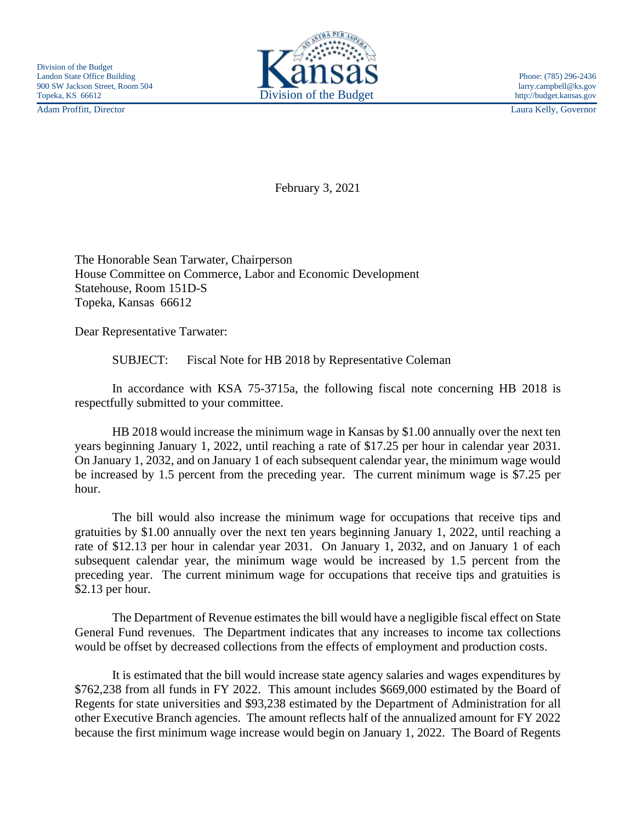Adam Proffitt, Director Laura Kelly, Governor



February 3, 2021

The Honorable Sean Tarwater, Chairperson House Committee on Commerce, Labor and Economic Development Statehouse, Room 151D-S Topeka, Kansas 66612

Dear Representative Tarwater:

SUBJECT: Fiscal Note for HB 2018 by Representative Coleman

In accordance with KSA 75-3715a, the following fiscal note concerning HB 2018 is respectfully submitted to your committee.

HB 2018 would increase the minimum wage in Kansas by \$1.00 annually over the next ten years beginning January 1, 2022, until reaching a rate of \$17.25 per hour in calendar year 2031. On January 1, 2032, and on January 1 of each subsequent calendar year, the minimum wage would be increased by 1.5 percent from the preceding year. The current minimum wage is \$7.25 per hour.

The bill would also increase the minimum wage for occupations that receive tips and gratuities by \$1.00 annually over the next ten years beginning January 1, 2022, until reaching a rate of \$12.13 per hour in calendar year 2031. On January 1, 2032, and on January 1 of each subsequent calendar year, the minimum wage would be increased by 1.5 percent from the preceding year. The current minimum wage for occupations that receive tips and gratuities is \$2.13 per hour.

The Department of Revenue estimates the bill would have a negligible fiscal effect on State General Fund revenues. The Department indicates that any increases to income tax collections would be offset by decreased collections from the effects of employment and production costs.

It is estimated that the bill would increase state agency salaries and wages expenditures by \$762,238 from all funds in FY 2022. This amount includes \$669,000 estimated by the Board of Regents for state universities and \$93,238 estimated by the Department of Administration for all other Executive Branch agencies. The amount reflects half of the annualized amount for FY 2022 because the first minimum wage increase would begin on January 1, 2022. The Board of Regents